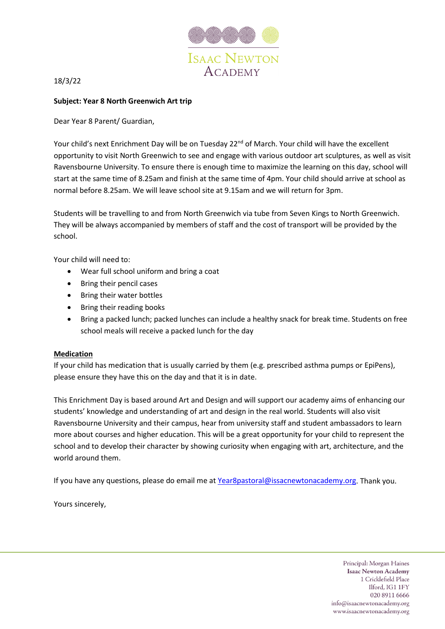

## 18/3/22

## **Subject: Year 8 North Greenwich Art trip**

Dear Year 8 Parent/ Guardian,

Your child's next Enrichment Day will be on Tuesday 22<sup>nd</sup> of March. Your child will have the excellent opportunity to visit North Greenwich to see and engage with various outdoor art sculptures, as well as visit Ravensbourne University. To ensure there is enough time to maximize the learning on this day, school will start at the same time of 8.25am and finish at the same time of 4pm. Your child should arrive at school as normal before 8.25am. We will leave school site at 9.15am and we will return for 3pm.

Students will be travelling to and from North Greenwich via tube from Seven Kings to North Greenwich. They will be always accompanied by members of staff and the cost of transport will be provided by the school.

Your child will need to:

- Wear full school uniform and bring a coat
- Bring their pencil cases
- Bring their water bottles
- Bring their reading books
- Bring a packed lunch; packed lunches can include a healthy snack for break time. Students on free school meals will receive a packed lunch for the day

## **Medication**

If your child has medication that is usually carried by them (e.g. prescribed asthma pumps or EpiPens), please ensure they have this on the day and that it is in date.

This Enrichment Day is based around Art and Design and will support our academy aims of enhancing our students' knowledge and understanding of art and design in the real world. Students will also visit Ravensbourne University and their campus, hear from university staff and student ambassadors to learn more about courses and higher education. This will be a great opportunity for your child to represent the school and to develop their character by showing curiosity when engaging with art, architecture, and the world around them.

If you have any questions, please do email me at [Year8pastoral@issacnewtonacademy.org.](mailto:Year8pastoral@issacnewtonacademy.org) Thank you.

Yours sincerely,

Principal: Morgan Haines **Isaac Newton Academy** 1 Cricklefield Place Ilford, IG1 1FY 020 8911 6666 info@isaacnewtonacademy.org www.isaacnewtonacademy.org